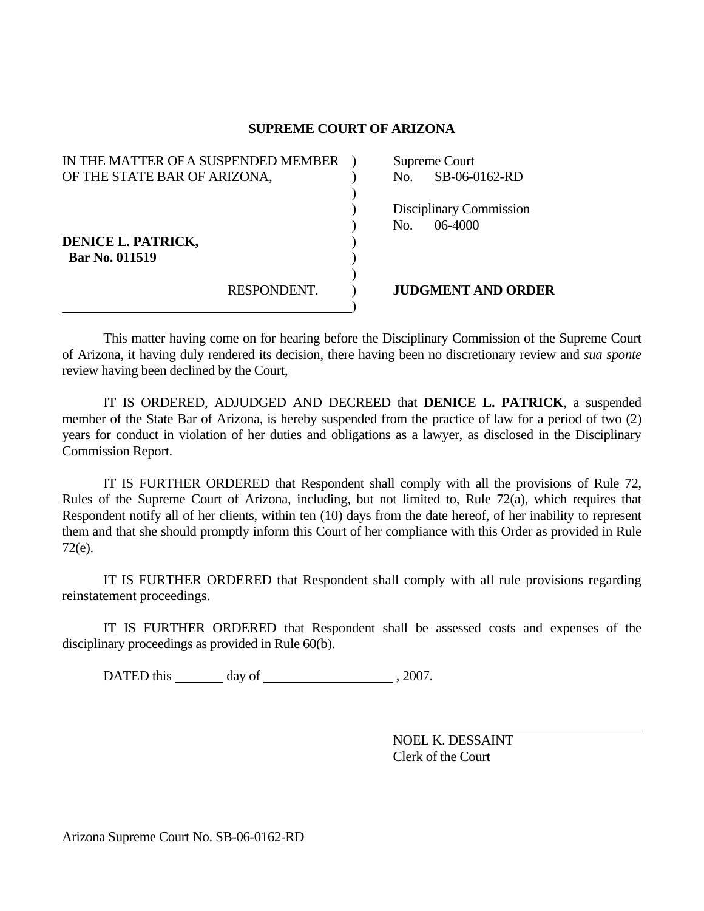## **SUPREME COURT OF ARIZONA**

| IN THE MATTER OF A SUSPENDED MEMBER |             | Supreme Court |                           |
|-------------------------------------|-------------|---------------|---------------------------|
| OF THE STATE BAR OF ARIZONA,        |             | No.           | SB-06-0162-RD             |
|                                     |             |               |                           |
|                                     |             |               | Disciplinary Commission   |
|                                     |             | No.           | $06-4000$                 |
| DENICE L. PATRICK,                  |             |               |                           |
| <b>Bar No. 011519</b>               |             |               |                           |
|                                     |             |               |                           |
|                                     | RESPONDENT. |               | <b>JUDGMENT AND ORDER</b> |
|                                     |             |               |                           |

 This matter having come on for hearing before the Disciplinary Commission of the Supreme Court of Arizona, it having duly rendered its decision, there having been no discretionary review and *sua sponte* review having been declined by the Court,

 IT IS ORDERED, ADJUDGED AND DECREED that **DENICE L. PATRICK**, a suspended member of the State Bar of Arizona, is hereby suspended from the practice of law for a period of two (2) years for conduct in violation of her duties and obligations as a lawyer, as disclosed in the Disciplinary Commission Report.

 IT IS FURTHER ORDERED that Respondent shall comply with all the provisions of Rule 72, Rules of the Supreme Court of Arizona, including, but not limited to, Rule 72(a), which requires that Respondent notify all of her clients, within ten (10) days from the date hereof, of her inability to represent them and that she should promptly inform this Court of her compliance with this Order as provided in Rule 72(e).

 IT IS FURTHER ORDERED that Respondent shall comply with all rule provisions regarding reinstatement proceedings.

 IT IS FURTHER ORDERED that Respondent shall be assessed costs and expenses of the disciplinary proceedings as provided in Rule 60(b).

DATED this day of , 2007.

 NOEL K. DESSAINT Clerk of the Court

Arizona Supreme Court No. SB-06-0162-RD